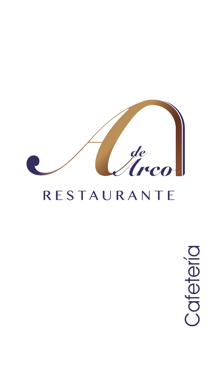

# RESTAURANTE

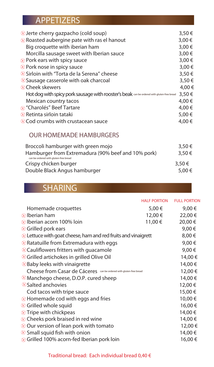## APPETIZERS

| $\otimes$ Jerte cherry gazpacho (cold soup)                                               | 3,50€  |
|-------------------------------------------------------------------------------------------|--------|
| in Roasted aubergine pate with ras el hanout                                              | 3,00€  |
| Big croquette with iberian ham                                                            | 3,00€  |
| Morcilla sausage sweet with Iberian sauce                                                 | 3,00€  |
| $\otimes$ Pork ears with spicy sauce                                                      | 3,00€  |
| in spicy sauce ∂ Pork nose in spicy sauce                                                 | 3,00 € |
| ⊗ Sirloin with "Torta de la Serena" cheese                                                | 3,50€  |
| in Sausage casserole with oak charcoal                                                    | 3,50€  |
| ⊗ Cheek skewers                                                                           | 4,00 € |
| Hot dog with spicy pork sausage with rooster's beak can be ordered with gluten-free bread | 3,50€  |
| Mexican country tacos                                                                     | 4,00 € |
| ⊗ "Charolés" Beef Tartare                                                                 | 4,00 € |
| $\otimes$ Retinta sirloin tataki                                                          | 5,00€  |
| ⊗Cod crumbs with crustacean sauce                                                         | 4.00 € |
|                                                                                           |        |

#### OUR HOMEMADE HAMBURGERS

| Broccoli hamburger with green mojo                                                          | 3,50€  |
|---------------------------------------------------------------------------------------------|--------|
| Hamburger from Extremadura (90% beef and 10% pork)<br>can be ordered with gluten-free bread | 3,50€  |
| Crispy chicken burger                                                                       | 3,50€  |
| Double Black Angus hamburger                                                                | 5,00 € |

# SHARING

|                                                                       | <b>HALF PORTION</b> | <b>FULL PORTION</b> |
|-----------------------------------------------------------------------|---------------------|---------------------|
| Homemade croquettes                                                   | 5,00 €              | 9,00 €              |
| $\otimes$ Iberian ham                                                 | 12,00 €             | 22,00 €             |
| $\otimes$ Iberian acorn 100% loin                                     | 11,00 €             | 20,00 €             |
| ⊗ Grilled pork ears                                                   |                     | 9,00€               |
| $\otimes$ Lettuce with goat cheese, ham and red fruits and vinaigrett |                     | 8,00€               |
| $\otimes$ Ratatuille from Extremadura with eggs                       |                     | 9,00€               |
| $\otimes$ Cauliflowers fritters with guacamole                        |                     | 9,00€               |
| it Grilled artichokes in grilled Olive Oil                            |                     | 14,00 €             |
| <sup>⊗</sup> Baby leeks with vinaigrette                              |                     | 14,00 €             |
| Cheese from Casar de Cáceres can be ordered with gluten-free bread    |                     | 12,00 €             |
| $\otimes$ Manchego cheese, D.O.P. cured sheep                         |                     | 14,00€              |
| <sup>®</sup> Salted anchovies                                         |                     | 12,00 €             |
| Cod tacos with tripe sauce                                            |                     | 15,00€              |
| $\otimes$ Homemade cod with eggs and fries                            |                     | 10,00€              |
| ither God in God in Grilled whole squidered                           |                     | 16,00€              |
| $\otimes$ Tripe with chickpeas                                        |                     | 14,00 €             |
| $\otimes$ Cheeks pork braised in red wine                             |                     | 14,00 €             |
| $\otimes$ Our version of lean pork with tomato                        |                     | 12,00 €             |
| $\otimes$ Small squid fish with onion                                 |                     | 14,00 €             |
| $\otimes$ Grilled 100% acorn-fed Iberian pork loin                    |                     | 16,00 €             |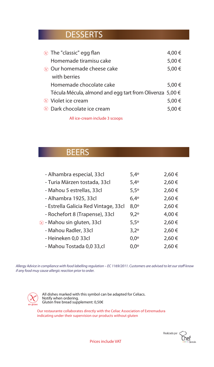### **DESSERTS**

| $\otimes$ The "classic" egg flan                        | 4,00 € |
|---------------------------------------------------------|--------|
| Homemade tiramisu cake                                  | 5,00€  |
| $\otimes$ Our homemade cheese cake                      | 5,00€  |
| with berries                                            |        |
| Homemade chocolate cake                                 | 5,00 € |
| Técula Mécula, almond and egg tart from Olivenza 5,00 € |        |
| $\otimes$ Violet ice cream                              | 5,00 € |
| $\otimes$ Dark chocolate ice cream                      | 5,00€  |
|                                                         |        |

All ice-cream include 3 scoops

#### **BEERS**

| - Alhambra especial, 33cl            | $5,4^{\circ}$ | 2,60€  |
|--------------------------------------|---------------|--------|
| - Turia Märzen tostada, 33cl         | 5,4°          | 2,60€  |
| - Mahou 5 estrellas, 33cl            | $5,5^\circ$   | 2,60€  |
| - Alhambra 1925, 33cl                | $6,4^{\circ}$ | 2,60€  |
| - Estrella Galicia Red Vintage, 33cl | $8,0^\circ$   | 2,60€  |
| - Rochefort 8 (Trapense), 33cl       | $9,2^{\circ}$ | 4,00€  |
| ⊗ - Mahou sin gluten, 33cl           | $5,5^{\circ}$ | 2,60 € |
| - Mahou Radler, 33cl                 | $3,2^{\circ}$ | 2,60 € |
| - Heineken 0,0 33cl                  | $0,0^{\circ}$ | 2,60 € |
| - Mahou Tostada 0,0 33,cl            | $0.0^\circ$   | 2,60 € |

 *Allergy Advice in compliance with food labelling regulation – EC 1169/2011. Customers are advised to let our sta know if any food muy cause allergic reaction prior to order.* 



All dishes marked with this symbol can be adapted for Celiacs. Notify when ordering. Gluten free bread supplement: 0,50€

Our restaurante collaborates directly with the Celiac Association of Extremadura indicating under their supervision our products without gluten



Prices include VAT